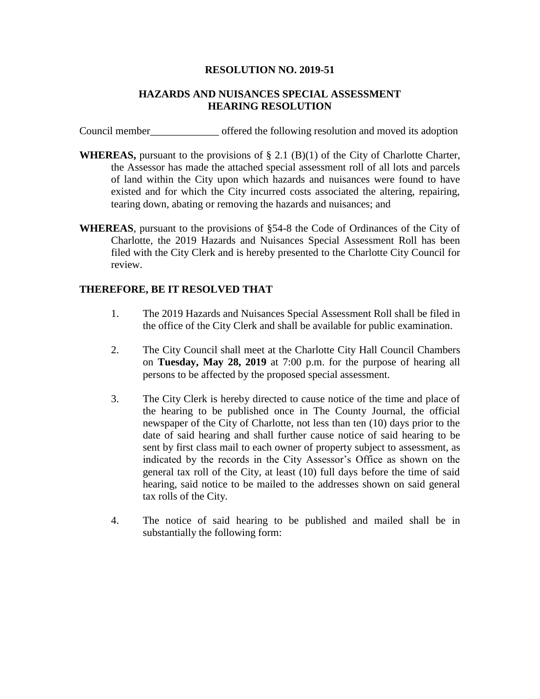## **RESOLUTION NO. 2019-51**

## **HAZARDS AND NUISANCES SPECIAL ASSESSMENT HEARING RESOLUTION**

Council member\_\_\_\_\_\_\_\_\_\_\_\_\_ offered the following resolution and moved its adoption

- **WHEREAS,** pursuant to the provisions of § 2.1 (B)(1) of the City of Charlotte Charter, the Assessor has made the attached special assessment roll of all lots and parcels of land within the City upon which hazards and nuisances were found to have existed and for which the City incurred costs associated the altering, repairing, tearing down, abating or removing the hazards and nuisances; and
- **WHEREAS**, pursuant to the provisions of §54-8 the Code of Ordinances of the City of Charlotte, the 2019 Hazards and Nuisances Special Assessment Roll has been filed with the City Clerk and is hereby presented to the Charlotte City Council for review.

## **THEREFORE, BE IT RESOLVED THAT**

- 1. The 2019 Hazards and Nuisances Special Assessment Roll shall be filed in the office of the City Clerk and shall be available for public examination.
- 2. The City Council shall meet at the Charlotte City Hall Council Chambers on **Tuesday, May 28, 2019** at 7:00 p.m. for the purpose of hearing all persons to be affected by the proposed special assessment.
- 3. The City Clerk is hereby directed to cause notice of the time and place of the hearing to be published once in The County Journal, the official newspaper of the City of Charlotte, not less than ten (10) days prior to the date of said hearing and shall further cause notice of said hearing to be sent by first class mail to each owner of property subject to assessment, as indicated by the records in the City Assessor's Office as shown on the general tax roll of the City, at least (10) full days before the time of said hearing, said notice to be mailed to the addresses shown on said general tax rolls of the City.
- 4. The notice of said hearing to be published and mailed shall be in substantially the following form: